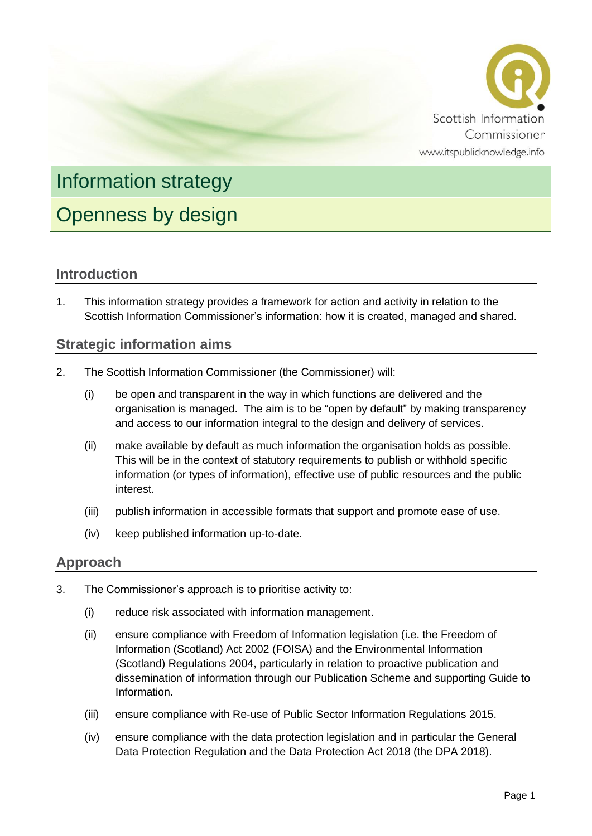

# Information strategy Openness by design

# **Introduction**

1. This information strategy provides a framework for action and activity in relation to the Scottish Information Commissioner's information: how it is created, managed and shared.

### **Strategic information aims**

- 2. The Scottish Information Commissioner (the Commissioner) will:
	- (i) be open and transparent in the way in which functions are delivered and the organisation is managed. The aim is to be "open by default" by making transparency and access to our information integral to the design and delivery of services.
	- (ii) make available by default as much information the organisation holds as possible. This will be in the context of statutory requirements to publish or withhold specific information (or types of information), effective use of public resources and the public interest.
	- (iii) publish information in accessible formats that support and promote ease of use.
	- (iv) keep published information up-to-date.

#### **Approach**

- 3. The Commissioner's approach is to prioritise activity to:
	- (i) reduce risk associated with information management.
	- (ii) ensure compliance with Freedom of Information legislation (i.e. the Freedom of Information (Scotland) Act 2002 (FOISA) and the Environmental Information (Scotland) Regulations 2004, particularly in relation to proactive publication and dissemination of information through our Publication Scheme and supporting Guide to Information.
	- (iii) ensure compliance with Re-use of Public Sector Information Regulations 2015.
	- (iv) ensure compliance with the data protection legislation and in particular the General Data Protection Regulation and the Data Protection Act 2018 (the DPA 2018).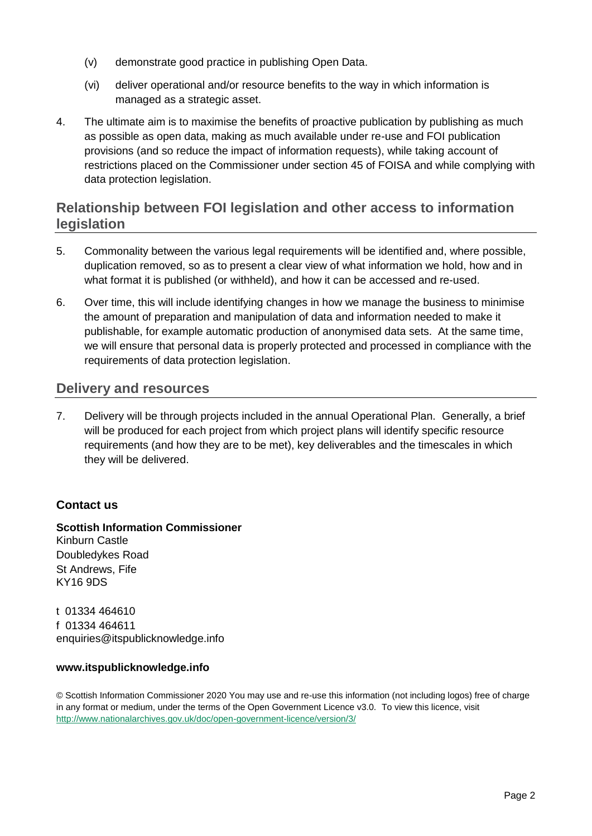- (v) demonstrate good practice in publishing Open Data.
- (vi) deliver operational and/or resource benefits to the way in which information is managed as a strategic asset.
- 4. The ultimate aim is to maximise the benefits of proactive publication by publishing as much as possible as open data, making as much available under re-use and FOI publication provisions (and so reduce the impact of information requests), while taking account of restrictions placed on the Commissioner under section 45 of FOISA and while complying with data protection legislation.

# **Relationship between FOI legislation and other access to information legislation**

- 5. Commonality between the various legal requirements will be identified and, where possible, duplication removed, so as to present a clear view of what information we hold, how and in what format it is published (or withheld), and how it can be accessed and re-used.
- 6. Over time, this will include identifying changes in how we manage the business to minimise the amount of preparation and manipulation of data and information needed to make it publishable, for example automatic production of anonymised data sets. At the same time, we will ensure that personal data is properly protected and processed in compliance with the requirements of data protection legislation.

#### **Delivery and resources**

7. Delivery will be through projects included in the annual Operational Plan. Generally, a brief will be produced for each project from which project plans will identify specific resource requirements (and how they are to be met), key deliverables and the timescales in which they will be delivered.

#### **Contact us**

**Scottish Information Commissioner** Kinburn Castle Doubledykes Road St Andrews, Fife KY16 9DS

t 01334 464610 f 01334 464611 enquiries@itspublicknowledge.info

#### **www.itspublicknowledge.info**

© Scottish Information Commissioner 2020 You may use and re-use this information (not including logos) free of charge in any format or medium, under the terms of the Open Government Licence v3.0. To view this licence, visit <http://www.nationalarchives.gov.uk/doc/open-government-licence/version/3/>